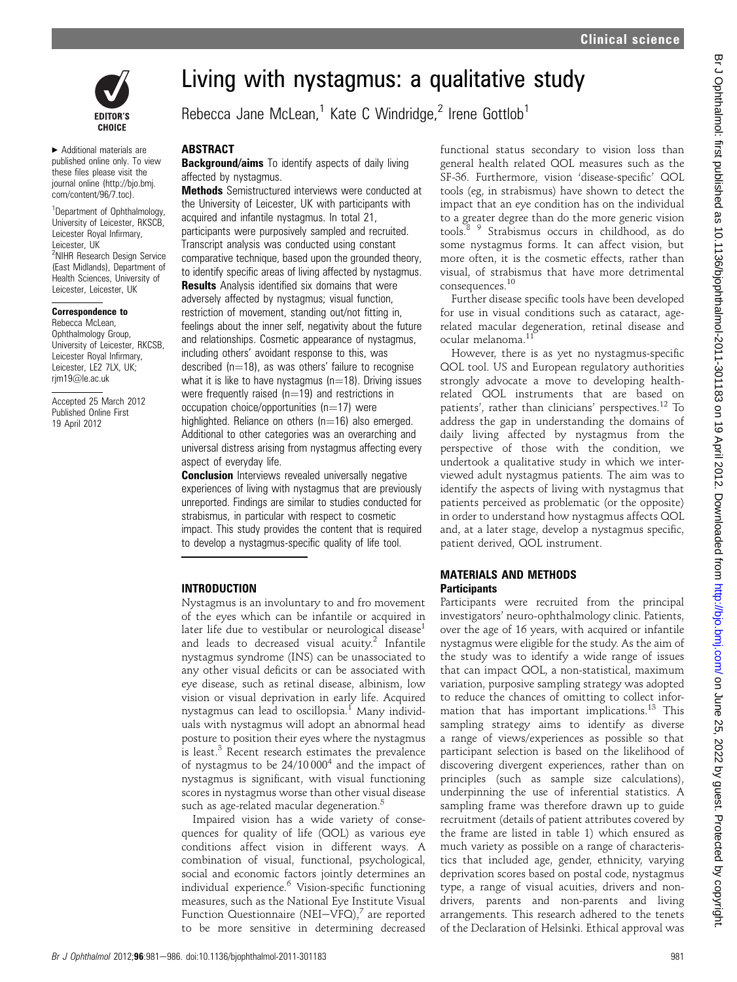

▶ Additional materials are published online only. To view these files please visit the journal online (http://bjo.bmj. com/content/96/7.toc).

<sup>1</sup>Department of Ophthalmology, University of Leicester, RKSCB, Leicester Royal Infirmary, Leicester, UK <sup>2</sup>NIHR Research Design Service (East Midlands), Department of Health Sciences, University of Leicester, Leicester, UK

#### Correspondence to

Rebecca McLean, Ophthalmology Group, University of Leicester, RKCSB, Leicester Royal Infirmary, Leicester, LE2 7LX, UK; rjm19@le.ac.uk

Accepted 25 March 2012 Published Online First 19 April 2012

# Living with nystagmus: a qualitative study

Rebecca Jane McLean,<sup>1</sup> Kate C Windridge,<sup>2</sup> Irene Gottlob<sup>1</sup>

## **ABSTRACT**

**Background/aims** To identify aspects of daily living affected by nystagmus.

Methods Semistructured interviews were conducted at the University of Leicester, UK with participants with acquired and infantile nystagmus. In total 21, participants were purposively sampled and recruited. Transcript analysis was conducted using constant comparative technique, based upon the grounded theory, to identify specific areas of living affected by nystagmus.

**Results** Analysis identified six domains that were adversely affected by nystagmus; visual function, restriction of movement, standing out/not fitting in, feelings about the inner self, negativity about the future and relationships. Cosmetic appearance of nystagmus, including others' avoidant response to this, was described  $(n=18)$ , as was others' failure to recognise what it is like to have nystagmus  $(n=18)$ . Driving issues were frequently raised ( $n=19$ ) and restrictions in occupation choice/opportunities  $(n=17)$  were highlighted. Reliance on others  $(n=16)$  also emerged. Additional to other categories was an overarching and universal distress arising from nystagmus affecting every aspect of everyday life.

**Conclusion** Interviews revealed universally negative experiences of living with nystagmus that are previously unreported. Findings are similar to studies conducted for strabismus, in particular with respect to cosmetic impact. This study provides the content that is required to develop a nystagmus-specific quality of life tool.

#### INTRODUCTION

Nystagmus is an involuntary to and fro movement of the eyes which can be infantile or acquired in later life due to vestibular or neurological disease<sup>1</sup> and leads to decreased visual acuity.<sup>2</sup> Infantile nystagmus syndrome (INS) can be unassociated to any other visual deficits or can be associated with eye disease, such as retinal disease, albinism, low vision or visual deprivation in early life. Acquired nystagmus can lead to oscillopsia.<sup>1</sup> Many individuals with nystagmus will adopt an abnormal head posture to position their eyes where the nystagmus is least.<sup>3</sup> Recent research estimates the prevalence of nystagmus to be  $24/10000<sup>4</sup>$  and the impact of nystagmus is significant, with visual functioning scores in nystagmus worse than other visual disease such as age-related macular degeneration.<sup>5</sup>

Impaired vision has a wide variety of consequences for quality of life (QOL) as various eye conditions affect vision in different ways. A combination of visual, functional, psychological, social and economic factors jointly determines an individual experience.<sup>6</sup> Vision-specific functioning measures, such as the National Eye Institute Visual Function Questionnaire (NEI-VFQ), $^7$  are reported to be more sensitive in determining decreased

functional status secondary to vision loss than general health related QOL measures such as the SF-36. Furthermore, vision 'disease-specific' QOL tools (eg, in strabismus) have shown to detect the impact that an eye condition has on the individual to a greater degree than do the more generic vision tools.8 9 Strabismus occurs in childhood, as do some nystagmus forms. It can affect vision, but more often, it is the cosmetic effects, rather than visual, of strabismus that have more detrimental consequences.<sup>10</sup>

Further disease specific tools have been developed for use in visual conditions such as cataract, agerelated macular degeneration, retinal disease and ocular melanoma.<sup>11</sup>

However, there is as yet no nystagmus-specific QOL tool. US and European regulatory authorities strongly advocate a move to developing healthrelated QOL instruments that are based on patients', rather than clinicians' perspectives.<sup>12</sup> To address the gap in understanding the domains of daily living affected by nystagmus from the perspective of those with the condition, we undertook a qualitative study in which we interviewed adult nystagmus patients. The aim was to identify the aspects of living with nystagmus that patients perceived as problematic (or the opposite) in order to understand how nystagmus affects QOL and, at a later stage, develop a nystagmus specific, patient derived, QOL instrument.

#### MATERIALS AND METHODS **Participants**

Participants were recruited from the principal investigators' neuro-ophthalmology clinic. Patients, over the age of 16 years, with acquired or infantile nystagmus were eligible for the study. As the aim of the study was to identify a wide range of issues that can impact QOL, a non-statistical, maximum variation, purposive sampling strategy was adopted to reduce the chances of omitting to collect information that has important implications.<sup>13</sup> This sampling strategy aims to identify as diverse a range of views/experiences as possible so that participant selection is based on the likelihood of discovering divergent experiences, rather than on principles (such as sample size calculations), underpinning the use of inferential statistics. A sampling frame was therefore drawn up to guide recruitment (details of patient attributes covered by the frame are listed in table 1) which ensured as much variety as possible on a range of characteristics that included age, gender, ethnicity, varying deprivation scores based on postal code, nystagmus type, a range of visual acuities, drivers and nondrivers, parents and non-parents and living arrangements. This research adhered to the tenets of the Declaration of Helsinki. Ethical approval was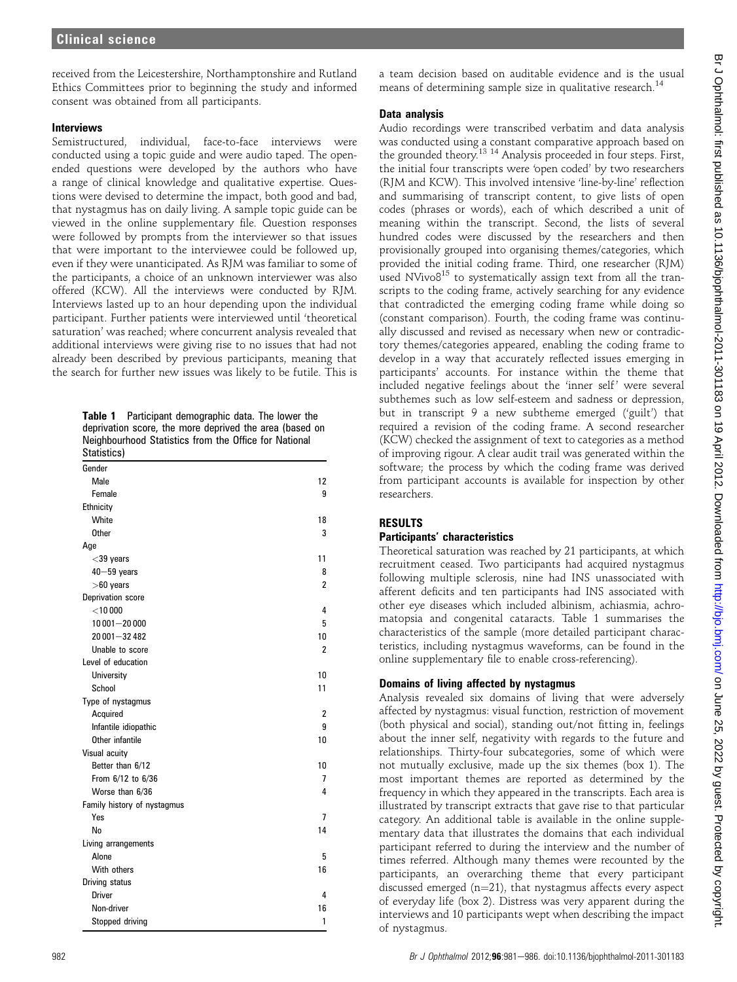received from the Leicestershire, Northamptonshire and Rutland Ethics Committees prior to beginning the study and informed consent was obtained from all participants.

## **Interviews**

Semistructured, individual, face-to-face interviews were conducted using a topic guide and were audio taped. The openended questions were developed by the authors who have a range of clinical knowledge and qualitative expertise. Questions were devised to determine the impact, both good and bad, that nystagmus has on daily living. A sample topic guide can be viewed in the online supplementary file. Question responses were followed by prompts from the interviewer so that issues that were important to the interviewee could be followed up, even if they were unanticipated. As RJM was familiar to some of the participants, a choice of an unknown interviewer was also offered (KCW). All the interviews were conducted by RJM. Interviews lasted up to an hour depending upon the individual participant. Further patients were interviewed until 'theoretical saturation' was reached; where concurrent analysis revealed that additional interviews were giving rise to no issues that had not already been described by previous participants, meaning that the search for further new issues was likely to be futile. This is

Table 1 Participant demographic data. The lower the deprivation score, the more deprived the area (based on Neighbourhood Statistics from the Office for National Statistics)

| งเนแงแบงเ                   |                |
|-----------------------------|----------------|
| Gender                      |                |
| Male                        | 12             |
| Female                      | 9              |
| Ethnicity                   |                |
| White                       | 18             |
| <b>Other</b>                | 3              |
| Age                         |                |
| $<$ 39 years                | 11             |
| $40 - 59$ years             | 8              |
| $>60$ years                 | 2              |
| Deprivation score           |                |
| $<$ 10 000                  | 4              |
| $10001 - 20000$             | 5              |
| 20 001-32 482               | 10             |
| Unable to score             | $\overline{2}$ |
| Level of education          |                |
| University                  | 10             |
| School                      | 11             |
| Type of nystagmus           |                |
| Acquired                    | 2              |
| Infantile idiopathic        | 9              |
| Other infantile             | 10             |
| Visual acuity               |                |
| Better than 6/12            | 10             |
| From 6/12 to 6/36           | 7              |
| Worse than 6/36             | 4              |
| Family history of nystagmus |                |
| Yes                         | 7              |
| No                          | 14             |
| Living arrangements         |                |
| Alone                       | 5              |
| With others                 | 16             |
| Driving status              |                |
| <b>Driver</b>               | 4              |
| Non-driver                  | 16             |
| Stopped driving             | 1              |

# Data analysis

Audio recordings were transcribed verbatim and data analysis was conducted using a constant comparative approach based on the grounded theory.13 <sup>14</sup> Analysis proceeded in four steps. First, the initial four transcripts were 'open coded' by two researchers (RJM and KCW). This involved intensive 'line-by-line' reflection and summarising of transcript content, to give lists of open codes (phrases or words), each of which described a unit of meaning within the transcript. Second, the lists of several hundred codes were discussed by the researchers and then provisionally grouped into organising themes/categories, which provided the initial coding frame. Third, one researcher (RJM) used NVivo $8^{15}$  to systematically assign text from all the transcripts to the coding frame, actively searching for any evidence that contradicted the emerging coding frame while doing so (constant comparison). Fourth, the coding frame was continually discussed and revised as necessary when new or contradictory themes/categories appeared, enabling the coding frame to develop in a way that accurately reflected issues emerging in participants' accounts. For instance within the theme that included negative feelings about the 'inner self' were several subthemes such as low self-esteem and sadness or depression, but in transcript 9 a new subtheme emerged ('guilt') that required a revision of the coding frame. A second researcher (KCW) checked the assignment of text to categories as a method of improving rigour. A clear audit trail was generated within the software; the process by which the coding frame was derived from participant accounts is available for inspection by other researchers.

# RESULTS

## Participants' characteristics

Theoretical saturation was reached by 21 participants, at which recruitment ceased. Two participants had acquired nystagmus following multiple sclerosis, nine had INS unassociated with afferent deficits and ten participants had INS associated with other eye diseases which included albinism, achiasmia, achromatopsia and congenital cataracts. Table 1 summarises the characteristics of the sample (more detailed participant characteristics, including nystagmus waveforms, can be found in the online supplementary file to enable cross-referencing).

# Domains of living affected by nystagmus

Analysis revealed six domains of living that were adversely affected by nystagmus: visual function, restriction of movement (both physical and social), standing out/not fitting in, feelings about the inner self, negativity with regards to the future and relationships. Thirty-four subcategories, some of which were not mutually exclusive, made up the six themes (box 1). The most important themes are reported as determined by the frequency in which they appeared in the transcripts. Each area is illustrated by transcript extracts that gave rise to that particular category. An additional table is available in the online supplementary data that illustrates the domains that each individual participant referred to during the interview and the number of times referred. Although many themes were recounted by the participants, an overarching theme that every participant discussed emerged  $(n=21)$ , that nystagmus affects every aspect of everyday life (box 2). Distress was very apparent during the interviews and 10 participants wept when describing the impact of nystagmus.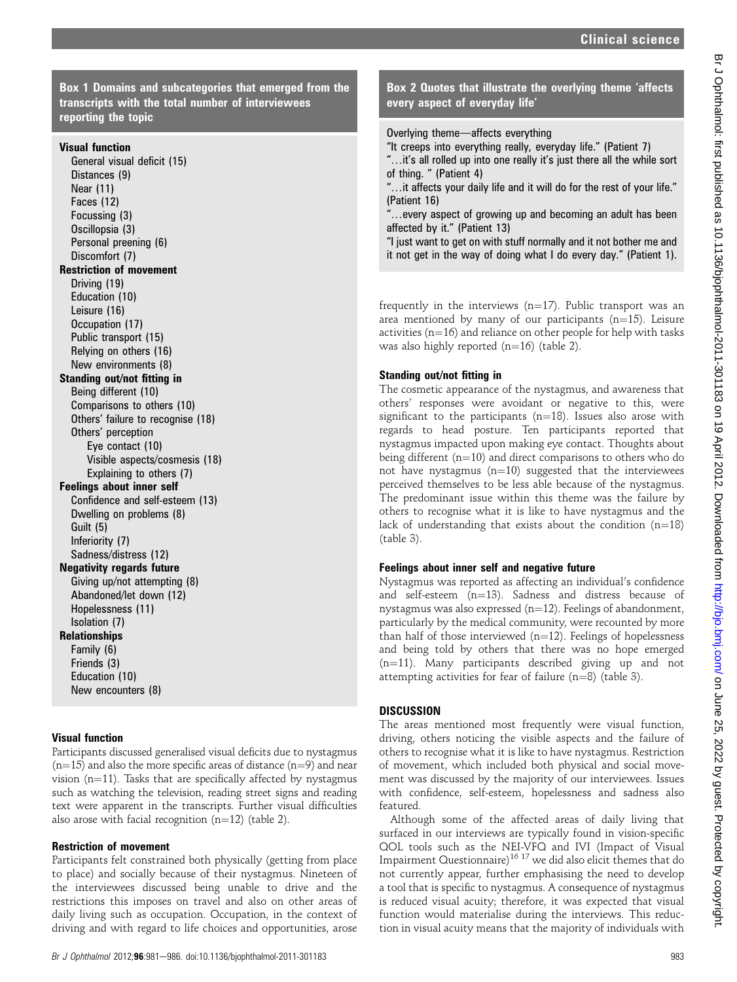Box 1 Domains and subcategories that emerged from the transcripts with the total number of interviewees reporting the topic

## Visual function

General visual deficit (15) Distances (9) Near (11) Faces (12) Focussing (3) Oscillopsia (3) Personal preening (6) Discomfort (7) Restriction of movement Driving (19) Education (10) Leisure (16) Occupation (17) Public transport (15) Relying on others (16) New environments (8) Standing out/not fitting in Being different (10) Comparisons to others (10) Others' failure to recognise (18) Others' perception Eye contact (10) Visible aspects/cosmesis (18) Explaining to others (7) Feelings about inner self Confidence and self-esteem (13) Dwelling on problems (8) Guilt (5) Inferiority (7) Sadness/distress (12) Negativity regards future Giving up/not attempting (8) Abandoned/let down (12) Hopelessness (11) Isolation (7) Relationships Family (6) Friends (3) Education (10) New encounters (8)

## Visual function

Participants discussed generalised visual deficits due to nystagmus  $(n=15)$  and also the more specific areas of distance (n=9) and near vision ( $n=11$ ). Tasks that are specifically affected by nystagmus such as watching the television, reading street signs and reading text were apparent in the transcripts. Further visual difficulties also arose with facial recognition  $(n=12)$  (table 2).

### Restriction of movement

Participants felt constrained both physically (getting from place to place) and socially because of their nystagmus. Nineteen of the interviewees discussed being unable to drive and the restrictions this imposes on travel and also on other areas of daily living such as occupation. Occupation, in the context of driving and with regard to life choices and opportunities, arose

# Box 2 Quotes that illustrate the overlying theme 'affects every aspect of everyday life'

Overlying theme-affects everything

- "It creeps into everything really, everyday life." (Patient 7)
- "...it's all rolled up into one really it's just there all the while sort of thing. " (Patient 4)
- "...it affects your daily life and it will do for the rest of your life." (Patient 16)
- "...every aspect of growing up and becoming an adult has been affected by it." (Patient 13)
- "I just want to get on with stuff normally and it not bother me and it not get in the way of doing what I do every day." (Patient 1).

frequently in the interviews ( $n=17$ ). Public transport was an area mentioned by many of our participants ( $n=15$ ). Leisure activities ( $n=16$ ) and reliance on other people for help with tasks was also highly reported  $(n=16)$  (table 2).

## Standing out/not fitting in

The cosmetic appearance of the nystagmus, and awareness that others' responses were avoidant or negative to this, were significant to the participants ( $n=18$ ). Issues also arose with regards to head posture. Ten participants reported that nystagmus impacted upon making eye contact. Thoughts about being different  $(n=10)$  and direct comparisons to others who do not have nystagmus  $(n=10)$  suggested that the interviewees perceived themselves to be less able because of the nystagmus. The predominant issue within this theme was the failure by others to recognise what it is like to have nystagmus and the lack of understanding that exists about the condition  $(n=18)$ (table 3).

### Feelings about inner self and negative future

Nystagmus was reported as affecting an individual's confidence and self-esteem  $(n=13)$ . Sadness and distress because of nystagmus was also expressed  $(n=12)$ . Feelings of abandonment, particularly by the medical community, were recounted by more than half of those interviewed  $(n=12)$ . Feelings of hopelessness and being told by others that there was no hope emerged  $(n=11)$ . Many participants described giving up and not attempting activities for fear of failure  $(n=8)$  (table 3).

### **DISCUSSION**

The areas mentioned most frequently were visual function, driving, others noticing the visible aspects and the failure of others to recognise what it is like to have nystagmus. Restriction of movement, which included both physical and social movement was discussed by the majority of our interviewees. Issues with confidence, self-esteem, hopelessness and sadness also featured.

Although some of the affected areas of daily living that surfaced in our interviews are typically found in vision-specific QOL tools such as the NEI-VFQ and IVI (Impact of Visual Impairment Questionnaire)<sup>16</sup> <sup>17</sup> we did also elicit themes that do not currently appear, further emphasising the need to develop a tool that is specific to nystagmus. A consequence of nystagmus is reduced visual acuity; therefore, it was expected that visual function would materialise during the interviews. This reduction in visual acuity means that the majority of individuals with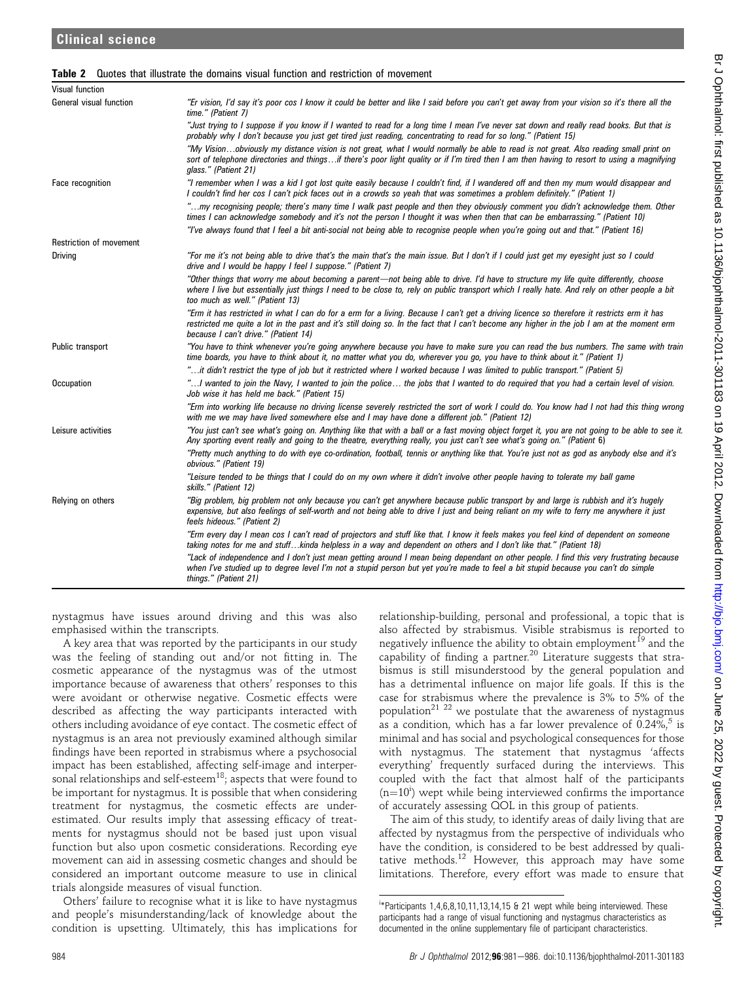|  | <b>Table 2</b> Quotes that illustrate the domains visual function and restriction of movement |  |  |  |  |
|--|-----------------------------------------------------------------------------------------------|--|--|--|--|
|--|-----------------------------------------------------------------------------------------------|--|--|--|--|

| <b>Visual function</b>         |                                                                                                                                                                                                                                                                                                                                   |
|--------------------------------|-----------------------------------------------------------------------------------------------------------------------------------------------------------------------------------------------------------------------------------------------------------------------------------------------------------------------------------|
| General visual function        | "Er vision, I'd say it's poor cos I know it could be better and like I said before you can't get away from your vision so it's there all the<br>time." (Patient 7)                                                                                                                                                                |
|                                | "Just trying to I suppose if you know if I wanted to read for a long time I mean I've never sat down and really read books. But that is<br>probably why I don't because you just get tired just reading, concentrating to read for so long." (Patient 15)                                                                         |
|                                | "My Visionobviously my distance vision is not great, what I would normally be able to read is not great. Also reading small print on<br>sort of telephone directories and thingsif there's poor light quality or if I'm tired then I am then having to resort to using a magnifying<br>glass." (Patient 21)                       |
| Face recognition               | "I remember when I was a kid I got lost quite easily because I couldn't find, if I wandered off and then my mum would disappear and<br>I couldn't find her cos I can't pick faces out in a crowds so yeah that was sometimes a problem definitely." (Patient 1)                                                                   |
|                                | "my recognising people; there's many time I walk past people and then they obviously comment you didn't acknowledge them. Other<br>times I can acknowledge somebody and it's not the person I thought it was when then that can be embarrassing." (Patient 10)                                                                    |
|                                | "I've always found that I feel a bit anti-social not being able to recognise people when you're going out and that." (Patient 16)                                                                                                                                                                                                 |
| <b>Restriction of movement</b> |                                                                                                                                                                                                                                                                                                                                   |
| <b>Driving</b>                 | "For me it's not being able to drive that's the main that's the main issue. But I don't if I could just get my eyesight just so I could<br>drive and I would be happy I feel I suppose." (Patient 7)                                                                                                                              |
|                                | "Other things that worry me about becoming a parent—not being able to drive. I'd have to structure my life quite differently, choose<br>where I live but essentially just things I need to be close to, rely on public transport which I really hate. And rely on other people a bit<br>too much as well." (Patient 13)           |
|                                | "Erm it has restricted in what I can do for a erm for a living. Because I can't get a driving licence so therefore it restricts erm it has<br>restricted me quite a lot in the past and it's still doing so. In the fact that I can't become any higher in the job I am at the moment erm<br>because I can't drive." (Patient 14) |
| Public transport               | "You have to think whenever you're going anywhere because you have to make sure you can read the bus numbers. The same with train<br>time boards, you have to think about it, no matter what you do, wherever you go, you have to think about it." (Patient 1)                                                                    |
|                                | "it didn't restrict the type of job but it restricted where I worked because I was limited to public transport." (Patient 5)"                                                                                                                                                                                                     |
| Occupation                     | "! wanted to join the Navy, I wanted to join the police the jobs that I wanted to do required that you had a certain level of vision.<br>Job wise it has held me back." (Patient 15)                                                                                                                                              |
|                                | "Erm into working life because no driving license severely restricted the sort of work I could do. You know had I not had this thing wrong<br>with me we may have lived somewhere else and I may have done a different job." (Patient 12)                                                                                         |
| Leisure activities             | "You just can't see what's going on. Anything like that with a ball or a fast moving object forget it, you are not going to be able to see it.<br>Any sporting event really and going to the theatre, everything really, you just can't see what's going on." (Patient 6)                                                         |
|                                | "Pretty much anything to do with eye co-ordination, football, tennis or anything like that. You're just not as god as anybody else and it's<br>obvious." (Patient 19)                                                                                                                                                             |
|                                | "Leisure tended to be things that I could do on my own where it didn't involve other people having to tolerate my ball game<br>skills." (Patient 12)                                                                                                                                                                              |
| Relying on others              | "Big problem, big problem not only because you can't get anywhere because public transport by and large is rubbish and it's hugely<br>expensive, but also feelings of self-worth and not being able to drive I just and being reliant on my wife to ferry me anywhere it just<br>feels hideous." (Patient 2)                      |
|                                | "Erm every day I mean cos I can't read of projectors and stuff like that. I know it feels makes you feel kind of dependent on someone<br>taking notes for me and stuffkinda helpless in a way and dependent on others and I don't like that." (Patient 18)                                                                        |
|                                | "Lack of independence and I don't just mean getting around I mean being dependant on other people. I find this very frustrating because<br>when I've studied up to degree level I'm not a stupid person but yet you're made to feel a bit stupid because you can't do simple<br>things." (Patient 21)                             |

nystagmus have issues around driving and this was also emphasised within the transcripts.

A key area that was reported by the participants in our study was the feeling of standing out and/or not fitting in. The cosmetic appearance of the nystagmus was of the utmost importance because of awareness that others' responses to this were avoidant or otherwise negative. Cosmetic effects were described as affecting the way participants interacted with others including avoidance of eye contact. The cosmetic effect of nystagmus is an area not previously examined although similar findings have been reported in strabismus where a psychosocial impact has been established, affecting self-image and interpersonal relationships and self-esteem<sup>18</sup>; aspects that were found to be important for nystagmus. It is possible that when considering treatment for nystagmus, the cosmetic effects are underestimated. Our results imply that assessing efficacy of treatments for nystagmus should not be based just upon visual function but also upon cosmetic considerations. Recording eye movement can aid in assessing cosmetic changes and should be considered an important outcome measure to use in clinical trials alongside measures of visual function.

Others' failure to recognise what it is like to have nystagmus and people's misunderstanding/lack of knowledge about the condition is upsetting. Ultimately, this has implications for relationship-building, personal and professional, a topic that is also affected by strabismus. Visible strabismus is reported to negatively influence the ability to obtain employment<sup>19</sup> and the capability of finding a partner.<sup>20</sup> Literature suggests that strabismus is still misunderstood by the general population and has a detrimental influence on major life goals. If this is the case for strabismus where the prevalence is 3% to 5% of the population<sup>21 22</sup> we postulate that the awareness of nystagmus as a condition, which has a far lower prevalence of  $0.24\%$ , is minimal and has social and psychological consequences for those with nystagmus. The statement that nystagmus 'affects everything' frequently surfaced during the interviews. This coupled with the fact that almost half of the participants  $(n=10^i)$  wept while being interviewed confirms the importance of accurately assessing QOL in this group of patients.

The aim of this study, to identify areas of daily living that are affected by nystagmus from the perspective of individuals who have the condition, is considered to be best addressed by qualitative methods.<sup>12</sup> However, this approach may have some limitations. Therefore, every effort was made to ensure that

i \*Participants 1,4,6,8,10,11,13,14,15 & 21 wept while being interviewed. These participants had a range of visual functioning and nystagmus characteristics as documented in the online supplementary file of participant characteristics.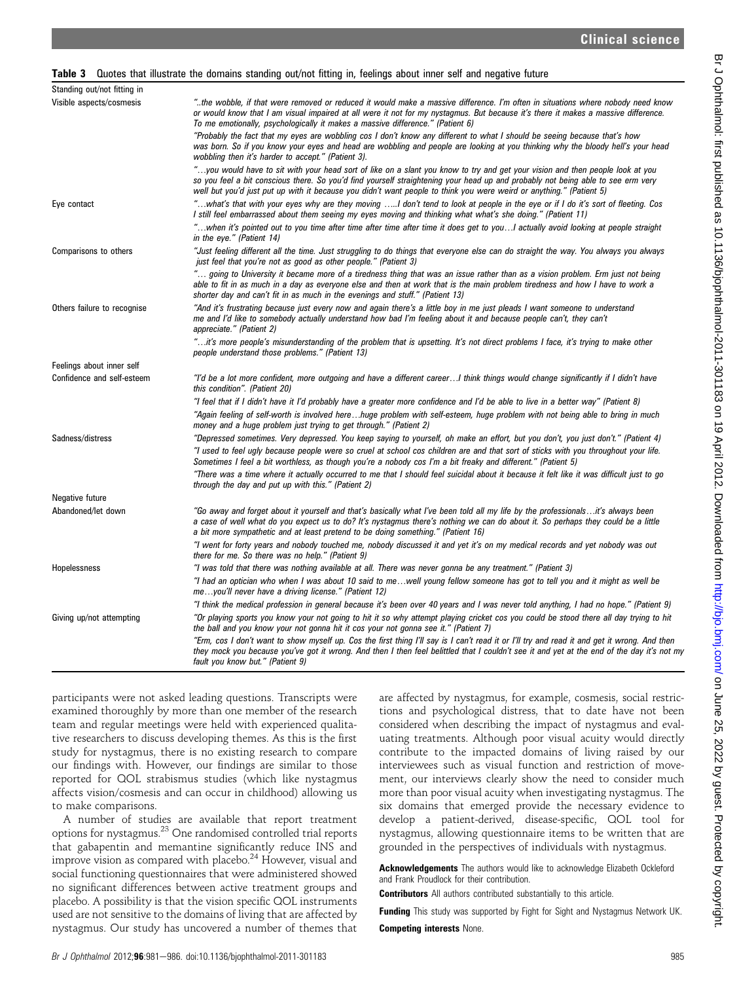#### Table 3 Quotes that illustrate the domains standing out/not fitting in, feelings about inner self and negative future

| Standing out/not fitting in |                                                                                                                                                                                                                                                                                                                                                                                          |
|-----------------------------|------------------------------------------------------------------------------------------------------------------------------------------------------------------------------------------------------------------------------------------------------------------------------------------------------------------------------------------------------------------------------------------|
| Visible aspects/cosmesis    | the wobble, if that were removed or reduced it would make a massive difference. I'm often in situations where nobody need know."<br>or would know that I am visual impaired at all were it not for my nystagmus. But because it's there it makes a massive difference.<br>To me emotionally, psychologically it makes a massive difference." (Patient 6)                                 |
|                             | "Probably the fact that my eyes are wobbling cos I don't know any different to what I should be seeing because that's how<br>was born. So if you know your eyes and head are wobbling and people are looking at you thinking why the bloody hell's your head<br>wobbling then it's harder to accept." (Patient 3).                                                                       |
|                             | "you would have to sit with your head sort of like on a slant you know to try and get your vision and then people look at you<br>so you feel a bit conscious there. So you'd find yourself straightening your head up and probably not being able to see erm very<br>well but you'd just put up with it because you didn't want people to think you were weird or anything." (Patient 5) |
| Eye contact                 | what's that with your eyes why are they moving I don't tend to look at people in the eye or if I do it's sort of fleeting. Cos."<br>I still feel embarrassed about them seeing my eyes moving and thinking what what's she doing." (Patient 11)                                                                                                                                          |
|                             | when it's pointed out to you time after time after time after time it does get to youI actually avoid looking at people straight"<br>in the eye." (Patient 14)                                                                                                                                                                                                                           |
| Comparisons to others       | "Just feeling different all the time. Just struggling to do things that everyone else can do straight the way. You always you always<br>just feel that you're not as good as other people." (Patient 3)                                                                                                                                                                                  |
|                             | " going to University it became more of a tiredness thing that was an issue rather than as a vision problem. Erm just not being<br>able to fit in as much in a day as everyone else and then at work that is the main problem tiredness and how I have to work a<br>shorter day and can't fit in as much in the evenings and stuff." (Patient 13)                                        |
| Others failure to recognise | "And it's frustrating because just every now and again there's a little boy in me just pleads I want someone to understand<br>me and I'd like to somebody actually understand how bad I'm feeling about it and because people can't, they can't<br>appreciate." (Patient 2)                                                                                                              |
|                             | "it's more people's misunderstanding of the problem that is upsetting. It's not direct problems I face, it's trying to make other<br>people understand those problems." (Patient 13)                                                                                                                                                                                                     |
| Feelings about inner self   |                                                                                                                                                                                                                                                                                                                                                                                          |
| Confidence and self-esteem  | "I'd be a lot more confident, more outgoing and have a different careerI think things would change significantly if I didn't have<br>this condition". (Patient 20)                                                                                                                                                                                                                       |
|                             | "I feel that if I didn't have it I'd probably have a greater more confidence and I'd be able to live in a better way" (Patient 8)                                                                                                                                                                                                                                                        |
|                             | "Again feeling of self-worth is involved herehuge problem with self-esteem, huge problem with not being able to bring in much<br>money and a huge problem just trying to get through." (Patient 2)                                                                                                                                                                                       |
| Sadness/distress            | "Depressed sometimes. Very depressed. You keep saying to yourself, oh make an effort, but you don't, you just don't." (Patient 4)                                                                                                                                                                                                                                                        |
|                             | "I used to feel ugly because people were so cruel at school cos children are and that sort of sticks with you throughout your life.<br>Sometimes I feel a bit worthless, as though you're a nobody cos I'm a bit freaky and different." (Patient 5)                                                                                                                                      |
|                             | "There was a time where it actually occurred to me that I should feel suicidal about it because it felt like it was difficult just to go<br>through the day and put up with this." (Patient 2)                                                                                                                                                                                           |
| Negative future             |                                                                                                                                                                                                                                                                                                                                                                                          |
| Abandoned/let down          | "Go away and forget about it yourself and that's basically what I've been told all my life by the professionalsit's always been<br>a case of well what do you expect us to do? It's nystagmus there's nothing we can do about it. So perhaps they could be a little<br>a bit more sympathetic and at least pretend to be doing something." (Patient 16)                                  |
|                             | "I went for forty years and nobody touched me, nobody discussed it and yet it's on my medical records and yet nobody was out<br>there for me. So there was no help." (Patient 9)                                                                                                                                                                                                         |
| <b>Hopelessness</b>         | "I was told that there was nothing available at all. There was never gonna be any treatment." (Patient 3)                                                                                                                                                                                                                                                                                |
|                             | "I had an optician who when I was about 10 said to mewell young fellow someone has got to tell you and it might as well be<br>meyou'll never have a driving license." (Patient 12)                                                                                                                                                                                                       |
|                             | "I think the medical profession in general because it's been over 40 years and I was never told anything, I had no hope." (Patient 9)                                                                                                                                                                                                                                                    |
| Giving up/not attempting    | "Or playing sports you know your not going to hit it so why attempt playing cricket cos you could be stood there all day trying to hit<br>the ball and you know your not gonna hit it cos your not gonna see it." (Patient 7)                                                                                                                                                            |
|                             | "Erm, cos I don't want to show myself up. Cos the first thing I'll say is I can't read it or I'll try and read it and get it wrong. And then<br>they mock you because you've got it wrong. And then I then feel belittled that I couldn't see it and yet at the end of the day it's not my<br>fault you know but." (Patient 9)                                                           |

participants were not asked leading questions. Transcripts were examined thoroughly by more than one member of the research team and regular meetings were held with experienced qualitative researchers to discuss developing themes. As this is the first study for nystagmus, there is no existing research to compare our findings with. However, our findings are similar to those reported for QOL strabismus studies (which like nystagmus affects vision/cosmesis and can occur in childhood) allowing us to make comparisons.

A number of studies are available that report treatment options for nystagmus.23 One randomised controlled trial reports that gabapentin and memantine significantly reduce INS and improve vision as compared with placebo. $^{24}$  However, visual and social functioning questionnaires that were administered showed no significant differences between active treatment groups and placebo. A possibility is that the vision specific QOL instruments used are not sensitive to the domains of living that are affected by nystagmus. Our study has uncovered a number of themes that

are affected by nystagmus, for example, cosmesis, social restrictions and psychological distress, that to date have not been considered when describing the impact of nystagmus and evaluating treatments. Although poor visual acuity would directly contribute to the impacted domains of living raised by our interviewees such as visual function and restriction of movement, our interviews clearly show the need to consider much more than poor visual acuity when investigating nystagmus. The six domains that emerged provide the necessary evidence to develop a patient-derived, disease-specific, QOL tool for nystagmus, allowing questionnaire items to be written that are grounded in the perspectives of individuals with nystagmus.

Acknowledgements The authors would like to acknowledge Elizabeth Ockleford and Frank Proudlock for their contribution.

**Contributors** All authors contributed substantially to this article.

Funding This study was supported by Fight for Sight and Nystagmus Network UK.

Competing interests None.